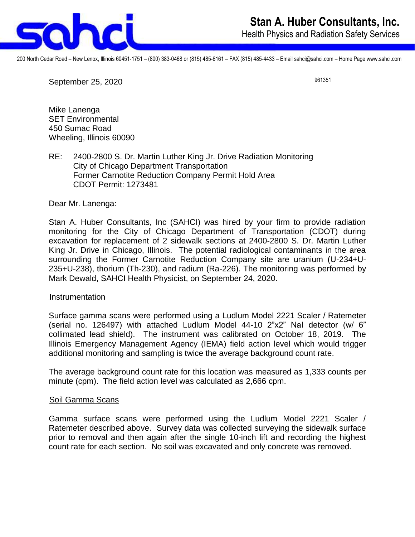

200 North Cedar Road – New Lenox, Illinois 60451-1751 – (800) 383-0468 or (815) 485-6161 – FAX (815) 485-4433 – Email sahci@sahci.com – Home Page www.sahci.com

September 25, 2020

961351

Mike Lanenga SET Environmental 450 Sumac Road Wheeling, Illinois 60090

RE: 2400-2800 S. Dr. Martin Luther King Jr. Drive Radiation Monitoring City of Chicago Department Transportation Former Carnotite Reduction Company Permit Hold Area CDOT Permit: 1273481

Dear Mr. Lanenga:

Stan A. Huber Consultants, Inc (SAHCI) was hired by your firm to provide radiation monitoring for the City of Chicago Department of Transportation (CDOT) during excavation for replacement of 2 sidewalk sections at 2400-2800 S. Dr. Martin Luther King Jr. Drive in Chicago, Illinois. The potential radiological contaminants in the area surrounding the Former Carnotite Reduction Company site are uranium (U-234+U-235+U-238), thorium (Th-230), and radium (Ra-226). The monitoring was performed by Mark Dewald, SAHCI Health Physicist, on September 24, 2020.

## Instrumentation

Surface gamma scans were performed using a Ludlum Model 2221 Scaler / Ratemeter (serial no. 126497) with attached Ludlum Model 44-10 2"x2" NaI detector (w/ 6" collimated lead shield). The instrument was calibrated on October 18, 2019. The Illinois Emergency Management Agency (IEMA) field action level which would trigger additional monitoring and sampling is twice the average background count rate.

The average background count rate for this location was measured as 1,333 counts per minute (cpm). The field action level was calculated as 2,666 cpm.

## Soil Gamma Scans

Gamma surface scans were performed using the Ludlum Model 2221 Scaler / Ratemeter described above. Survey data was collected surveying the sidewalk surface prior to removal and then again after the single 10-inch lift and recording the highest count rate for each section. No soil was excavated and only concrete was removed.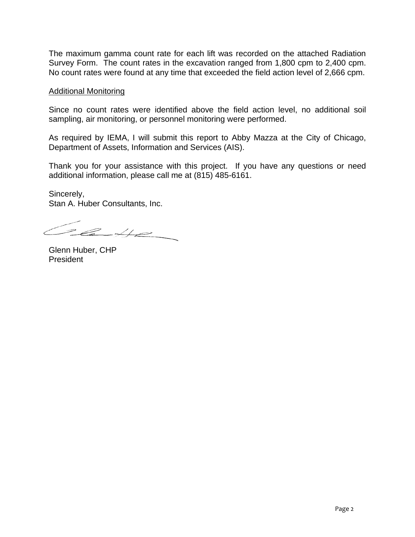The maximum gamma count rate for each lift was recorded on the attached Radiation Survey Form. The count rates in the excavation ranged from 1,800 cpm to 2,400 cpm. No count rates were found at any time that exceeded the field action level of 2,666 cpm.

## Additional Monitoring

Since no count rates were identified above the field action level, no additional soil sampling, air monitoring, or personnel monitoring were performed.

As required by IEMA, I will submit this report to Abby Mazza at the City of Chicago, Department of Assets, Information and Services (AIS).

Thank you for your assistance with this project. If you have any questions or need additional information, please call me at (815) 485-6161.

Sincerely, Stan A. Huber Consultants, Inc.

Case

Glenn Huber, CHP President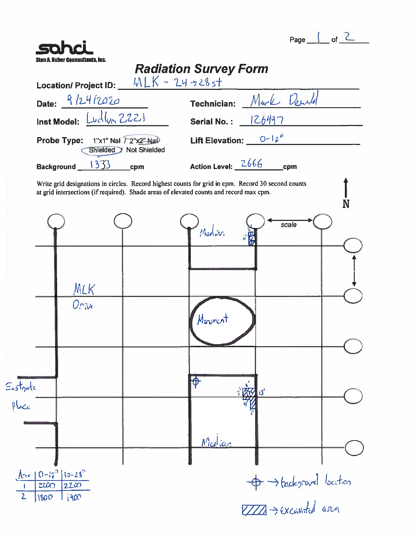| Page |  |
|------|--|
|      |  |

| Location/ Project ID: $MLK - 24 + 28 + 1$                                                                                                                                                     | <b>Radiation Survey Form</b>      |
|-----------------------------------------------------------------------------------------------------------------------------------------------------------------------------------------------|-----------------------------------|
| Date: $9/24/2020$                                                                                                                                                                             | Technician: Mark Dearth           |
| Inst Model: Ludlun 2221                                                                                                                                                                       | Serial No.: $126497$              |
|                                                                                                                                                                                               | Lift Elevation: $0-10k$           |
| Probe Type: 1"x1" Nal 72"x2" Nal<br>Shielded > Not Shielded                                                                                                                                   |                                   |
| 1333<br>Background_<br>cpm                                                                                                                                                                    | Action Level: 2666<br>cpm         |
| Write grid designations in circles. Record highest counts for grid in cpm. Record 30 second counts<br>at grid intersections (if required). Shade areas of elevated counts and record max cpm. | N                                 |
|                                                                                                                                                                                               | scale<br>Madrin                   |
|                                                                                                                                                                                               |                                   |
| MLK                                                                                                                                                                                           |                                   |
| $O_{\Gamma, Ve}$                                                                                                                                                                              | Marincot                          |
|                                                                                                                                                                                               | <b>Q</b>                          |
| Eustrate<br>Place                                                                                                                                                                             | 海<br>'ڌ،                          |
|                                                                                                                                                                                               | Medicin                           |
| $Area 10-10^{3} 10-28$<br>2200<br>2200                                                                                                                                                        | $\Rightarrow$ background location |
| $\overline{2}$<br>1800<br>1900                                                                                                                                                                | TIM-> excuvited area              |